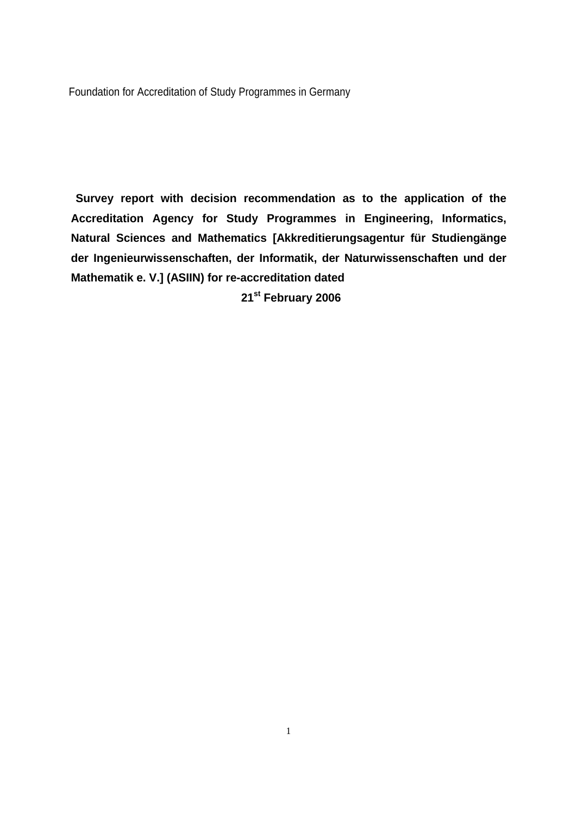Foundation for Accreditation of Study Programmes in Germany

**Survey report with decision recommendation as to the application of the Accreditation Agency for Study Programmes in Engineering, Informatics, Natural Sciences and Mathematics [Akkreditierungsagentur für Studiengänge der Ingenieurwissenschaften, der Informatik, der Naturwissenschaften und der Mathematik e. V.] (ASIIN) for re-accreditation dated** 

**21st February 2006**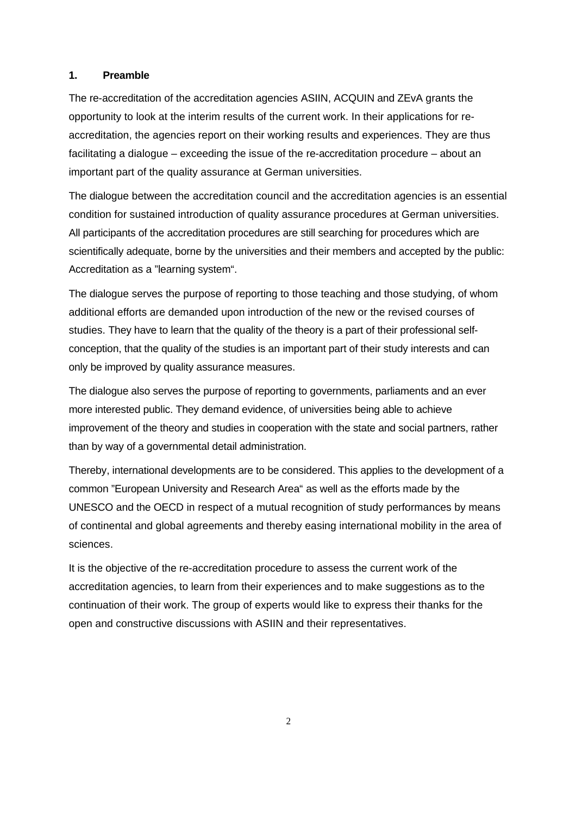#### **1. Preamble**

The re-accreditation of the accreditation agencies ASIIN, ACQUIN and ZEvA grants the opportunity to look at the interim results of the current work. In their applications for reaccreditation, the agencies report on their working results and experiences. They are thus facilitating a dialogue – exceeding the issue of the re-accreditation procedure – about an important part of the quality assurance at German universities.

The dialogue between the accreditation council and the accreditation agencies is an essential condition for sustained introduction of quality assurance procedures at German universities. All participants of the accreditation procedures are still searching for procedures which are scientifically adequate, borne by the universities and their members and accepted by the public: Accreditation as a "learning system".

The dialogue serves the purpose of reporting to those teaching and those studying, of whom additional efforts are demanded upon introduction of the new or the revised courses of studies. They have to learn that the quality of the theory is a part of their professional selfconception, that the quality of the studies is an important part of their study interests and can only be improved by quality assurance measures.

The dialogue also serves the purpose of reporting to governments, parliaments and an ever more interested public. They demand evidence, of universities being able to achieve improvement of the theory and studies in cooperation with the state and social partners, rather than by way of a governmental detail administration.

Thereby, international developments are to be considered. This applies to the development of a common "European University and Research Area" as well as the efforts made by the UNESCO and the OECD in respect of a mutual recognition of study performances by means of continental and global agreements and thereby easing international mobility in the area of sciences.

It is the objective of the re-accreditation procedure to assess the current work of the accreditation agencies, to learn from their experiences and to make suggestions as to the continuation of their work. The group of experts would like to express their thanks for the open and constructive discussions with ASIIN and their representatives.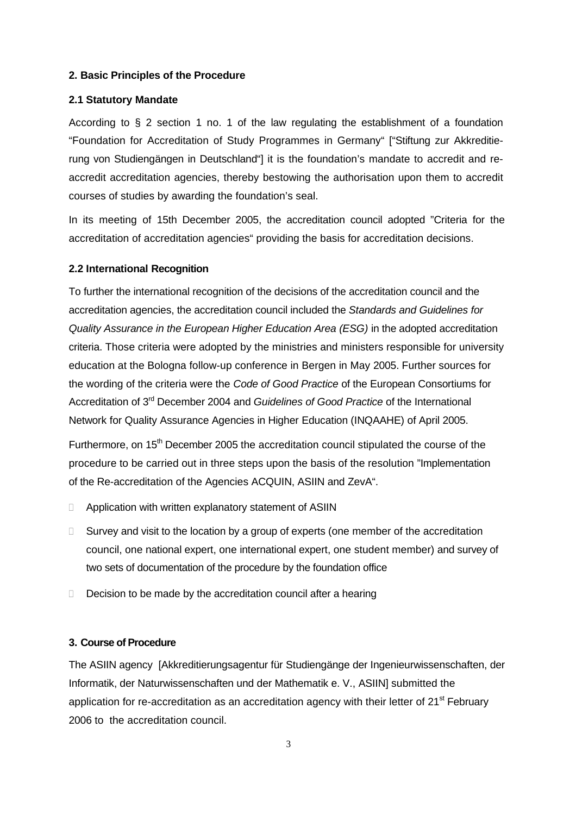#### **2. Basic Principles of the Procedure**

#### **2.1 Statutory Mandate**

According to  $\S$  2 section 1 no. 1 of the law regulating the establishment of a foundation "Foundation for Accreditation of Study Programmes in Germany" ["Stiftung zur Akkreditierung von Studiengängen in Deutschland"] it is the foundation's mandate to accredit and reaccredit accreditation agencies, thereby bestowing the authorisation upon them to accredit courses of studies by awarding the foundation's seal.

In its meeting of 15th December 2005, the accreditation council adopted "Criteria for the accreditation of accreditation agencies" providing the basis for accreditation decisions.

#### **2.2 International Recognition**

To further the international recognition of the decisions of the accreditation council and the accreditation agencies, the accreditation council included the *Standards and Guidelines for Quality Assurance in the European Higher Education Area (ESG)* in the adopted accreditation criteria. Those criteria were adopted by the ministries and ministers responsible for university education at the Bologna follow-up conference in Bergen in May 2005. Further sources for the wording of the criteria were the *Code of Good Practice* of the European Consortiums for Accreditation of 3rd December 2004 and *Guidelines of Good Practice* of the International Network for Quality Assurance Agencies in Higher Education (INQAAHE) of April 2005.

Furthermore, on 15<sup>th</sup> December 2005 the accreditation council stipulated the course of the procedure to be carried out in three steps upon the basis of the resolution "Implementation of the Re-accreditation of the Agencies ACQUIN, ASIIN and ZevA".

- □ Application with written explanatory statement of ASIIN
- $\Box$  Survey and visit to the location by a group of experts (one member of the accreditation council, one national expert, one international expert, one student member) and survey of two sets of documentation of the procedure by the foundation office
- D Decision to be made by the accreditation council after a hearing

## **3. Course of Procedure**

The ASIIN agency [Akkreditierungsagentur für Studiengänge der Ingenieurwissenschaften, der Informatik, der Naturwissenschaften und der Mathematik e. V., ASIIN] submitted the application for re-accreditation as an accreditation agency with their letter of  $21^{st}$  February 2006 to the accreditation council.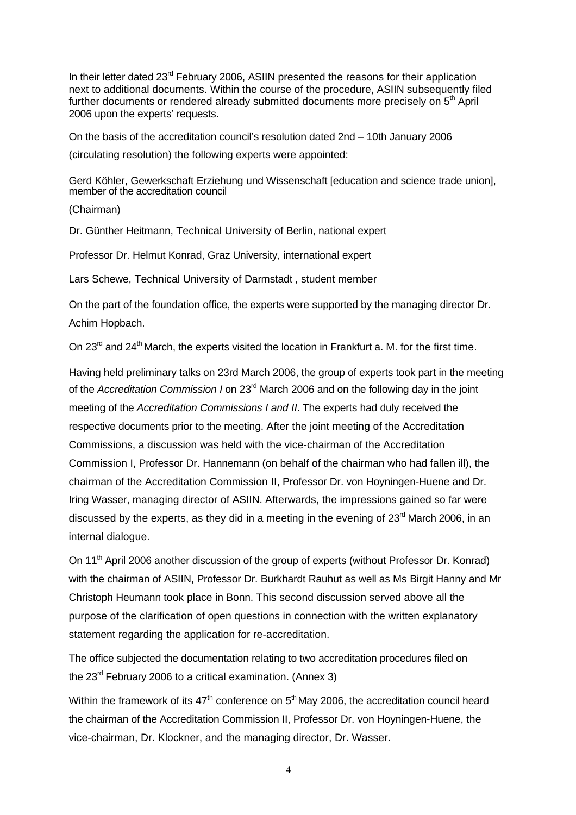In their letter dated 23<sup>rd</sup> February 2006, ASIIN presented the reasons for their application next to additional documents. Within the course of the procedure, ASIIN subsequently filed further documents or rendered already submitted documents more precisely on 5<sup>th</sup> April 2006 upon the experts' requests.

On the basis of the accreditation council's resolution dated 2nd – 10th January 2006

(circulating resolution) the following experts were appointed:

Gerd Köhler, Gewerkschaft Erziehung und Wissenschaft [education and science trade union], member of the accreditation council

(Chairman)

Dr. Günther Heitmann, Technical University of Berlin, national expert

Professor Dr. Helmut Konrad, Graz University, international expert

Lars Schewe, Technical University of Darmstadt , student member

On the part of the foundation office, the experts were supported by the managing director Dr. Achim Hopbach.

On 23<sup>rd</sup> and 24<sup>th</sup> March, the experts visited the location in Frankfurt a. M. for the first time.

Having held preliminary talks on 23rd March 2006, the group of experts took part in the meeting of the *Accreditation Commission I* on 23rd March 2006 and on the following day in the joint meeting of the *Accreditation Commissions I and II*. The experts had duly received the respective documents prior to the meeting. After the joint meeting of the Accreditation Commissions, a discussion was held with the vice-chairman of the Accreditation Commission I, Professor Dr. Hannemann (on behalf of the chairman who had fallen ill), the chairman of the Accreditation Commission II, Professor Dr. von Hoyningen-Huene and Dr. Iring Wasser, managing director of ASIIN. Afterwards, the impressions gained so far were discussed by the experts, as they did in a meeting in the evening of  $23<sup>rd</sup>$  March 2006, in an internal dialogue.

On 11<sup>th</sup> April 2006 another discussion of the group of experts (without Professor Dr. Konrad) with the chairman of ASIIN, Professor Dr. Burkhardt Rauhut as well as Ms Birgit Hanny and Mr Christoph Heumann took place in Bonn. This second discussion served above all the purpose of the clarification of open questions in connection with the written explanatory statement regarding the application for re-accreditation.

The office subjected the documentation relating to two accreditation procedures filed on the  $23<sup>rd</sup>$  February 2006 to a critical examination. (Annex 3)

Within the framework of its  $47<sup>th</sup>$  conference on  $5<sup>th</sup>$  May 2006, the accreditation council heard the chairman of the Accreditation Commission II, Professor Dr. von Hoyningen-Huene, the vice-chairman, Dr. Klockner, and the managing director, Dr. Wasser.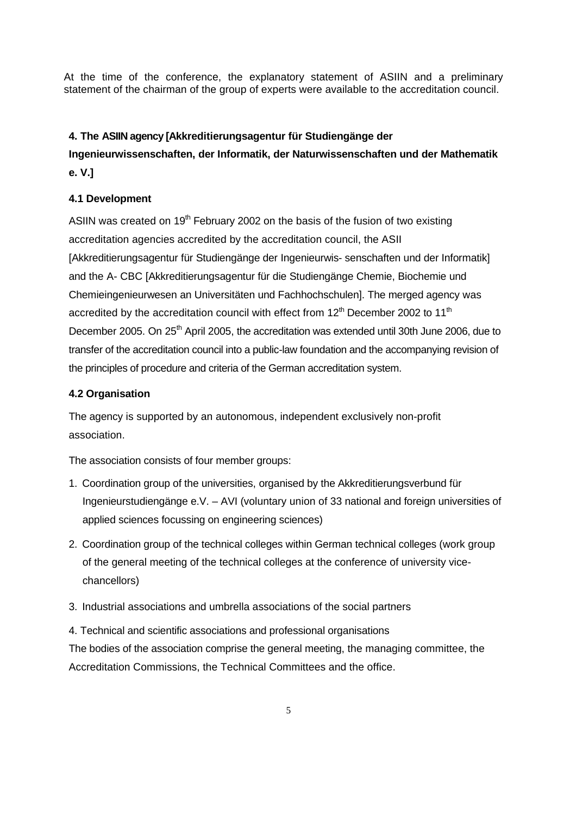At the time of the conference, the explanatory statement of ASIIN and a preliminary statement of the chairman of the group of experts were available to the accreditation council.

# **4. The ASIIN agency [Akkreditierungsagentur für Studiengänge der**

# **Ingenieurwissenschaften, der Informatik, der Naturwissenschaften und der Mathematik e. V.]**

# **4.1 Development**

ASIIN was created on  $19<sup>th</sup>$  February 2002 on the basis of the fusion of two existing accreditation agencies accredited by the accreditation council, the ASII [Akkreditierungsagentur für Studiengänge der Ingenieurwis- senschaften und der Informatik] and the A- CBC [Akkreditierungsagentur für die Studiengänge Chemie, Biochemie und Chemieingenieurwesen an Universitäten und Fachhochschulen]. The merged agency was accredited by the accreditation council with effect from  $12<sup>th</sup>$  December 2002 to  $11<sup>th</sup>$ December 2005. On 25<sup>th</sup> April 2005, the accreditation was extended until 30th June 2006, due to transfer of the accreditation council into a public-law foundation and the accompanying revision of the principles of procedure and criteria of the German accreditation system.

# **4.2 Organisation**

The agency is supported by an autonomous, independent exclusively non-profit association.

The association consists of four member groups:

- 1. Coordination group of the universities, organised by the Akkreditierungsverbund für Ingenieurstudiengänge e.V. – AVI (voluntary union of 33 national and foreign universities of applied sciences focussing on engineering sciences)
- 2. Coordination group of the technical colleges within German technical colleges (work group of the general meeting of the technical colleges at the conference of university vicechancellors)
- 3. Industrial associations and umbrella associations of the social partners

4. Technical and scientific associations and professional organisations The bodies of the association comprise the general meeting, the managing committee, the Accreditation Commissions, the Technical Committees and the office.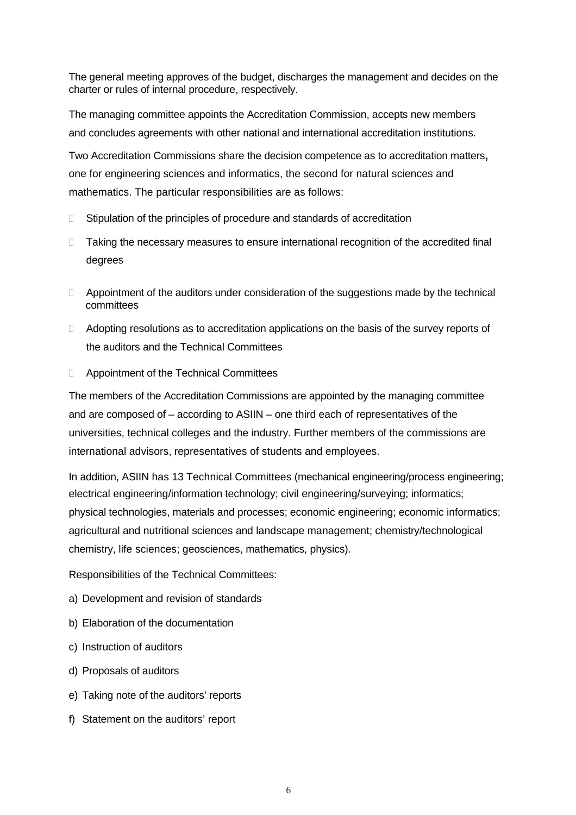The general meeting approves of the budget, discharges the management and decides on the charter or rules of internal procedure, respectively.

The managing committee appoints the Accreditation Commission, accepts new members and concludes agreements with other national and international accreditation institutions.

Two Accreditation Commissions share the decision competence as to accreditation matters**,** one for engineering sciences and informatics, the second for natural sciences and mathematics. The particular responsibilities are as follows:

- □ Stipulation of the principles of procedure and standards of accreditation
- Taking the necessary measures to ensure international recognition of the accredited final degrees
- Appointment of the auditors under consideration of the suggestions made by the technical committees
- Adopting resolutions as to accreditation applications on the basis of the survey reports of the auditors and the Technical Committees
- Appointment of the Technical Committees

The members of the Accreditation Commissions are appointed by the managing committee and are composed of – according to ASIIN – one third each of representatives of the universities, technical colleges and the industry. Further members of the commissions are international advisors, representatives of students and employees.

In addition, ASIIN has 13 Technical Committees (mechanical engineering/process engineering; electrical engineering/information technology; civil engineering/surveying; informatics; physical technologies, materials and processes; economic engineering; economic informatics; agricultural and nutritional sciences and landscape management; chemistry/technological chemistry, life sciences; geosciences, mathematics, physics).

Responsibilities of the Technical Committees:

- a) Development and revision of standards
- b) Elaboration of the documentation
- c) Instruction of auditors
- d) Proposals of auditors
- e) Taking note of the auditors' reports
- f) Statement on the auditors' report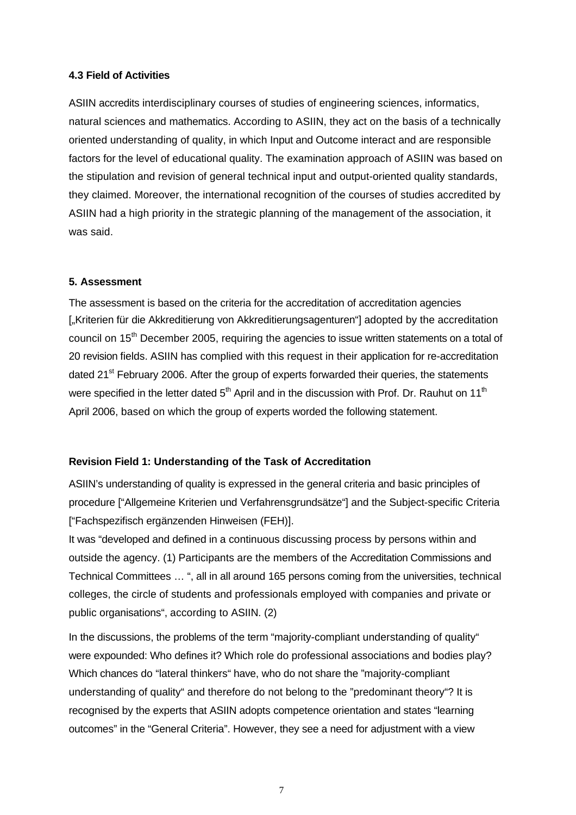## **4.3 Field of Activities**

ASIIN accredits interdisciplinary courses of studies of engineering sciences, informatics, natural sciences and mathematics. According to ASIIN, they act on the basis of a technically oriented understanding of quality, in which Input and Outcome interact and are responsible factors for the level of educational quality. The examination approach of ASIIN was based on the stipulation and revision of general technical input and output-oriented quality standards, they claimed. Moreover, the international recognition of the courses of studies accredited by ASIIN had a high priority in the strategic planning of the management of the association, it was said.

## **5. Assessment**

The assessment is based on the criteria for the accreditation of accreditation agencies ["Kriterien für die Akkreditierung von Akkreditierungsagenturen"] adopted by the accreditation council on 15<sup>th</sup> December 2005, requiring the agencies to issue written statements on a total of 20 revision fields. ASIIN has complied with this request in their application for re-accreditation dated 21<sup>st</sup> February 2006. After the group of experts forwarded their queries, the statements were specified in the letter dated  $5<sup>th</sup>$  April and in the discussion with Prof. Dr. Rauhut on 11<sup>th</sup> April 2006, based on which the group of experts worded the following statement.

## **Revision Field 1: Understanding of the Task of Accreditation**

ASIIN's understanding of quality is expressed in the general criteria and basic principles of procedure ["Allgemeine Kriterien und Verfahrensgrundsätze"] and the Subject-specific Criteria ["Fachspezifisch ergänzenden Hinweisen (FEH)].

It was "developed and defined in a continuous discussing process by persons within and outside the agency. (1) Participants are the members of the Accreditation Commissions and Technical Committees … ", all in all around 165 persons coming from the universities, technical colleges, the circle of students and professionals employed with companies and private or public organisations", according to ASIIN. (2)

In the discussions, the problems of the term "majority-compliant understanding of quality" were expounded: Who defines it? Which role do professional associations and bodies play? Which chances do "lateral thinkers" have, who do not share the "majority-compliant understanding of quality" and therefore do not belong to the "predominant theory"? It is recognised by the experts that ASIIN adopts competence orientation and states "learning outcomes" in the "General Criteria". However, they see a need for adjustment with a view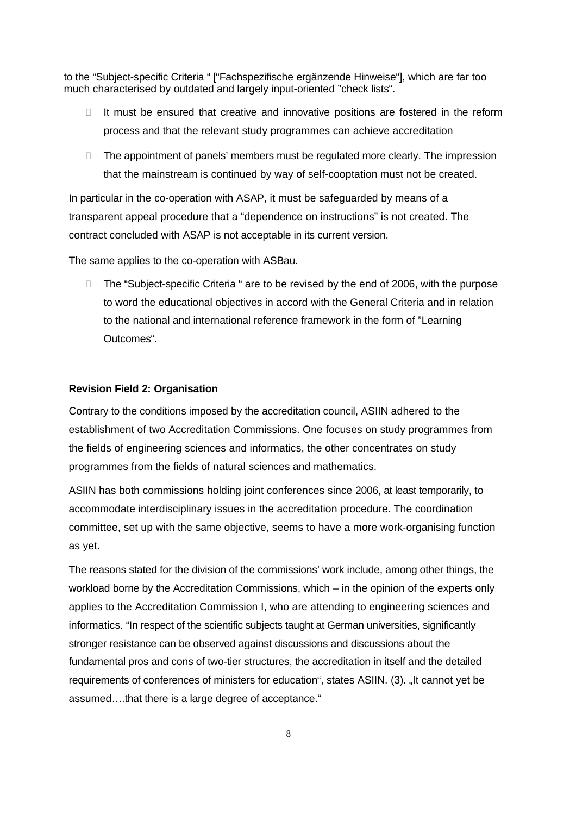to the "Subject-specific Criteria " ["Fachspezifische ergänzende Hinweise"], which are far too much characterised by outdated and largely input-oriented "check lists".

- $\Box$  It must be ensured that creative and innovative positions are fostered in the reform process and that the relevant study programmes can achieve accreditation
- □ The appointment of panels' members must be regulated more clearly. The impression that the mainstream is continued by way of self-cooptation must not be created.

In particular in the co-operation with ASAP, it must be safeguarded by means of a transparent appeal procedure that a "dependence on instructions" is not created. The contract concluded with ASAP is not acceptable in its current version.

The same applies to the co-operation with ASBau.

□ The "Subject-specific Criteria " are to be revised by the end of 2006, with the purpose to word the educational objectives in accord with the General Criteria and in relation to the national and international reference framework in the form of "Learning Outcomes".

#### **Revision Field 2: Organisation**

Contrary to the conditions imposed by the accreditation council, ASIIN adhered to the establishment of two Accreditation Commissions. One focuses on study programmes from the fields of engineering sciences and informatics, the other concentrates on study programmes from the fields of natural sciences and mathematics.

ASIIN has both commissions holding joint conferences since 2006, at least temporarily, to accommodate interdisciplinary issues in the accreditation procedure. The coordination committee, set up with the same objective, seems to have a more work-organising function as yet.

The reasons stated for the division of the commissions' work include, among other things, the workload borne by the Accreditation Commissions, which – in the opinion of the experts only applies to the Accreditation Commission I, who are attending to engineering sciences and informatics. "In respect of the scientific subjects taught at German universities, significantly stronger resistance can be observed against discussions and discussions about the fundamental pros and cons of two-tier structures, the accreditation in itself and the detailed requirements of conferences of ministers for education", states ASIIN. (3). "It cannot yet be assumed….that there is a large degree of acceptance."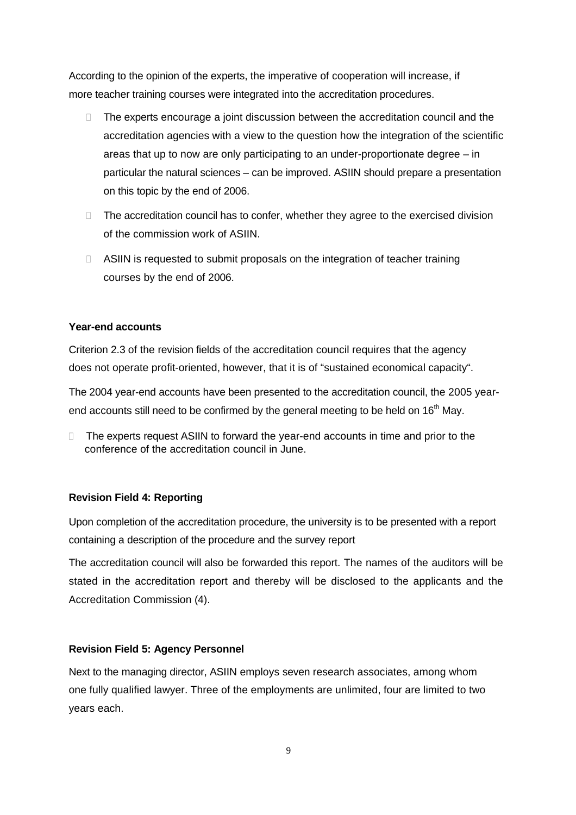According to the opinion of the experts, the imperative of cooperation will increase, if more teacher training courses were integrated into the accreditation procedures.

- □ The experts encourage a joint discussion between the accreditation council and the accreditation agencies with a view to the question how the integration of the scientific areas that up to now are only participating to an under-proportionate degree – in particular the natural sciences – can be improved. ASIIN should prepare a presentation on this topic by the end of 2006.
- $\Box$  The accreditation council has to confer, whether they agree to the exercised division of the commission work of ASIIN.
- □ ASIIN is requested to submit proposals on the integration of teacher training courses by the end of 2006.

## **Year-end accounts**

Criterion 2.3 of the revision fields of the accreditation council requires that the agency does not operate profit-oriented, however, that it is of "sustained economical capacity".

The 2004 year-end accounts have been presented to the accreditation council, the 2005 yearend accounts still need to be confirmed by the general meeting to be held on  $16<sup>th</sup>$  May.

□ The experts request ASIIN to forward the year-end accounts in time and prior to the conference of the accreditation council in June.

## **Revision Field 4: Reporting**

Upon completion of the accreditation procedure, the university is to be presented with a report containing a description of the procedure and the survey report

The accreditation council will also be forwarded this report. The names of the auditors will be stated in the accreditation report and thereby will be disclosed to the applicants and the Accreditation Commission (4).

## **Revision Field 5: Agency Personnel**

Next to the managing director, ASIIN employs seven research associates, among whom one fully qualified lawyer. Three of the employments are unlimited, four are limited to two years each.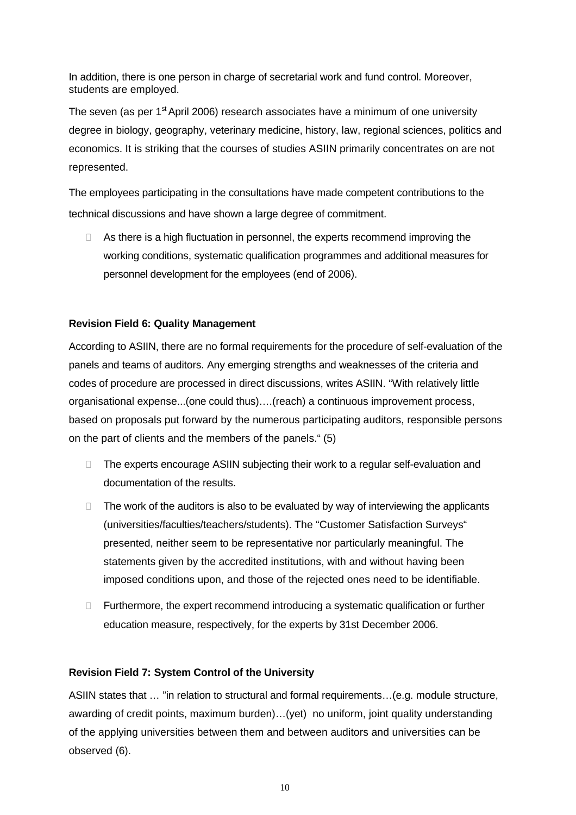In addition, there is one person in charge of secretarial work and fund control. Moreover, students are employed.

The seven (as per  $1<sup>st</sup>$  April 2006) research associates have a minimum of one university degree in biology, geography, veterinary medicine, history, law, regional sciences, politics and economics. It is striking that the courses of studies ASIIN primarily concentrates on are not represented.

The employees participating in the consultations have made competent contributions to the technical discussions and have shown a large degree of commitment.

□ As there is a high fluctuation in personnel, the experts recommend improving the working conditions, systematic qualification programmes and additional measures for personnel development for the employees (end of 2006).

# **Revision Field 6: Quality Management**

According to ASIIN, there are no formal requirements for the procedure of self-evaluation of the panels and teams of auditors. Any emerging strengths and weaknesses of the criteria and codes of procedure are processed in direct discussions, writes ASIIN. "With relatively little organisational expense...(one could thus)….(reach) a continuous improvement process, based on proposals put forward by the numerous participating auditors, responsible persons on the part of clients and the members of the panels." (5)

- The experts encourage ASIIN subjecting their work to a regular self-evaluation and documentation of the results.
- $\Box$  The work of the auditors is also to be evaluated by way of interviewing the applicants (universities/faculties/teachers/students). The "Customer Satisfaction Surveys" presented, neither seem to be representative nor particularly meaningful. The statements given by the accredited institutions, with and without having been imposed conditions upon, and those of the rejected ones need to be identifiable.
- $\Box$  Furthermore, the expert recommend introducing a systematic qualification or further education measure, respectively, for the experts by 31st December 2006.

## **Revision Field 7: System Control of the University**

ASIIN states that … "in relation to structural and formal requirements…(e.g. module structure, awarding of credit points, maximum burden)…(yet) no uniform, joint quality understanding of the applying universities between them and between auditors and universities can be observed (6).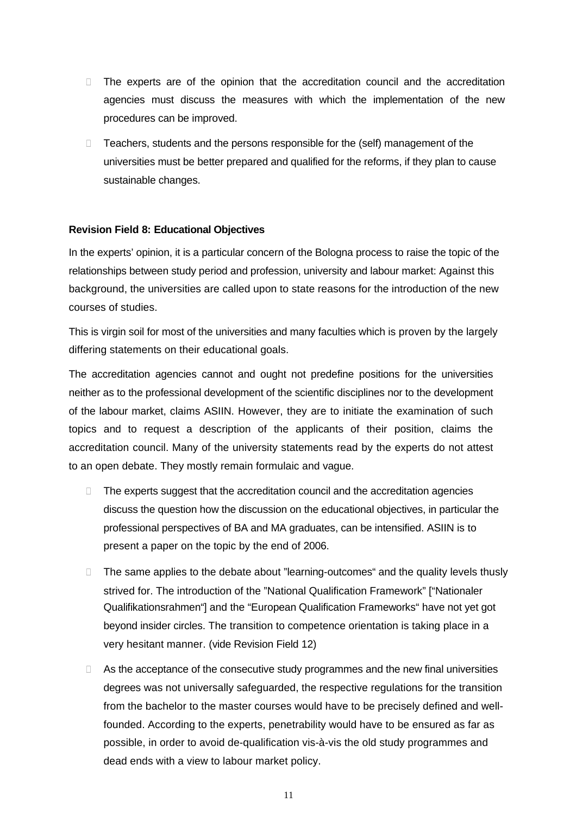- $\Box$  The experts are of the opinion that the accreditation council and the accreditation agencies must discuss the measures with which the implementation of the new procedures can be improved.
- □ Teachers, students and the persons responsible for the (self) management of the universities must be better prepared and qualified for the reforms, if they plan to cause sustainable changes.

## **Revision Field 8: Educational Objectives**

In the experts' opinion, it is a particular concern of the Bologna process to raise the topic of the relationships between study period and profession, university and labour market: Against this background, the universities are called upon to state reasons for the introduction of the new courses of studies.

This is virgin soil for most of the universities and many faculties which is proven by the largely differing statements on their educational goals.

The accreditation agencies cannot and ought not predefine positions for the universities neither as to the professional development of the scientific disciplines nor to the development of the labour market, claims ASIIN. However, they are to initiate the examination of such topics and to request a description of the applicants of their position, claims the accreditation council. Many of the university statements read by the experts do not attest to an open debate. They mostly remain formulaic and vague.

- $\Box$  The experts suggest that the accreditation council and the accreditation agencies discuss the question how the discussion on the educational objectives, in particular the professional perspectives of BA and MA graduates, can be intensified. ASIIN is to present a paper on the topic by the end of 2006.
- □ The same applies to the debate about "learning-outcomes" and the quality levels thusly strived for. The introduction of the "National Qualification Framework" ["Nationaler Qualifikationsrahmen"] and the "European Qualification Frameworks" have not yet got beyond insider circles. The transition to competence orientation is taking place in a very hesitant manner. (vide Revision Field 12)
- $\Box$  As the acceptance of the consecutive study programmes and the new final universities degrees was not universally safeguarded, the respective regulations for the transition from the bachelor to the master courses would have to be precisely defined and wellfounded. According to the experts, penetrability would have to be ensured as far as possible, in order to avoid de-qualification vis-à-vis the old study programmes and dead ends with a view to labour market policy.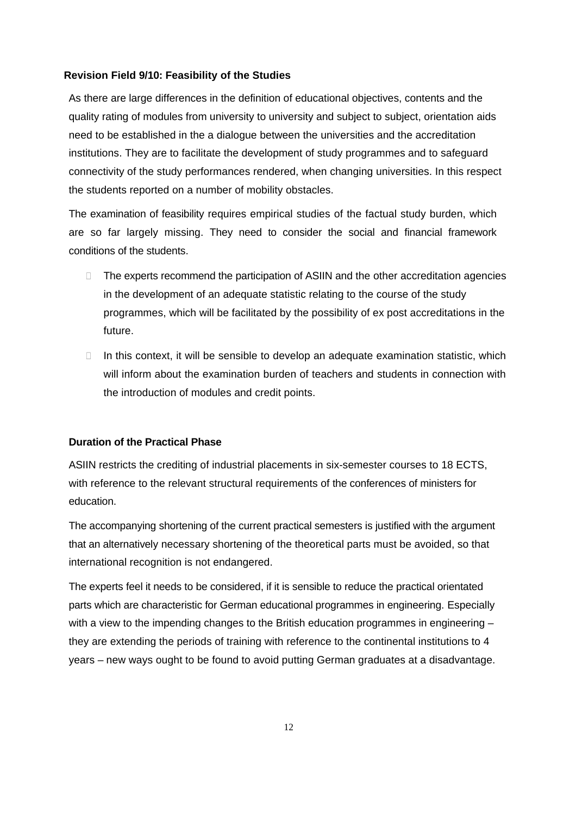#### **Revision Field 9/10: Feasibility of the Studies**

As there are large differences in the definition of educational objectives, contents and the quality rating of modules from university to university and subject to subject, orientation aids need to be established in the a dialogue between the universities and the accreditation institutions. They are to facilitate the development of study programmes and to safeguard connectivity of the study performances rendered, when changing universities. In this respect the students reported on a number of mobility obstacles.

The examination of feasibility requires empirical studies of the factual study burden, which are so far largely missing. They need to consider the social and financial framework conditions of the students.

- □ The experts recommend the participation of ASIIN and the other accreditation agencies in the development of an adequate statistic relating to the course of the study programmes, which will be facilitated by the possibility of ex post accreditations in the future.
- $\Box$  In this context, it will be sensible to develop an adequate examination statistic, which will inform about the examination burden of teachers and students in connection with the introduction of modules and credit points.

## **Duration of the Practical Phase**

ASIIN restricts the crediting of industrial placements in six-semester courses to 18 ECTS, with reference to the relevant structural requirements of the conferences of ministers for education.

The accompanying shortening of the current practical semesters is justified with the argument that an alternatively necessary shortening of the theoretical parts must be avoided, so that international recognition is not endangered.

The experts feel it needs to be considered, if it is sensible to reduce the practical orientated parts which are characteristic for German educational programmes in engineering. Especially with a view to the impending changes to the British education programmes in engineering they are extending the periods of training with reference to the continental institutions to 4 years – new ways ought to be found to avoid putting German graduates at a disadvantage.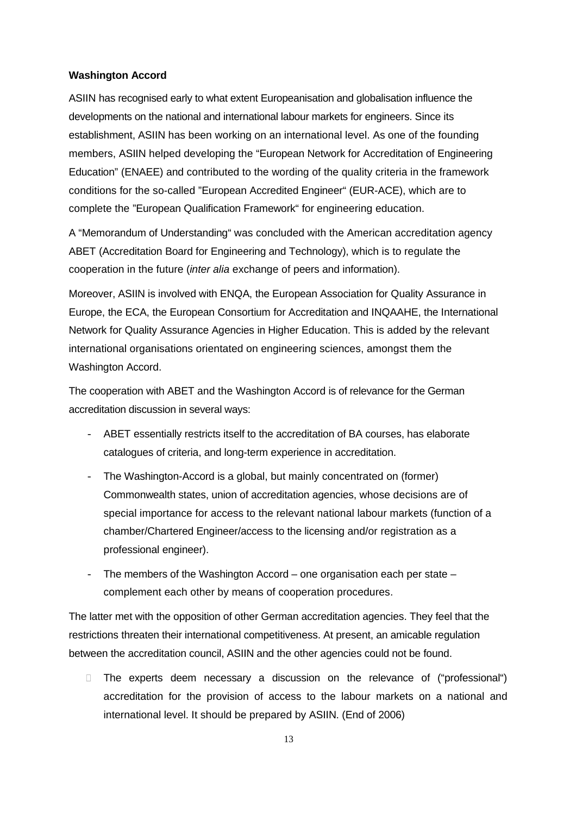#### **Washington Accord**

ASIIN has recognised early to what extent Europeanisation and globalisation influence the developments on the national and international labour markets for engineers. Since its establishment, ASIIN has been working on an international level. As one of the founding members, ASIIN helped developing the "European Network for Accreditation of Engineering Education" (ENAEE) and contributed to the wording of the quality criteria in the framework conditions for the so-called "European Accredited Engineer" (EUR-ACE), which are to complete the "European Qualification Framework" for engineering education.

A "Memorandum of Understanding" was concluded with the American accreditation agency ABET (Accreditation Board for Engineering and Technology), which is to regulate the cooperation in the future (*inter alia* exchange of peers and information).

Moreover, ASIIN is involved with ENQA, the European Association for Quality Assurance in Europe, the ECA, the European Consortium for Accreditation and INQAAHE, the International Network for Quality Assurance Agencies in Higher Education. This is added by the relevant international organisations orientated on engineering sciences, amongst them the Washington Accord.

The cooperation with ABET and the Washington Accord is of relevance for the German accreditation discussion in several ways:

- ABET essentially restricts itself to the accreditation of BA courses, has elaborate catalogues of criteria, and long-term experience in accreditation.
- The Washington-Accord is a global, but mainly concentrated on (former) Commonwealth states, union of accreditation agencies, whose decisions are of special importance for access to the relevant national labour markets (function of a chamber/Chartered Engineer/access to the licensing and/or registration as a professional engineer).
- The members of the Washington Accord one organisation each per state complement each other by means of cooperation procedures.

The latter met with the opposition of other German accreditation agencies. They feel that the restrictions threaten their international competitiveness. At present, an amicable regulation between the accreditation council, ASIIN and the other agencies could not be found.

 The experts deem necessary a discussion on the relevance of ("professional") accreditation for the provision of access to the labour markets on a national and international level. It should be prepared by ASIIN. (End of 2006)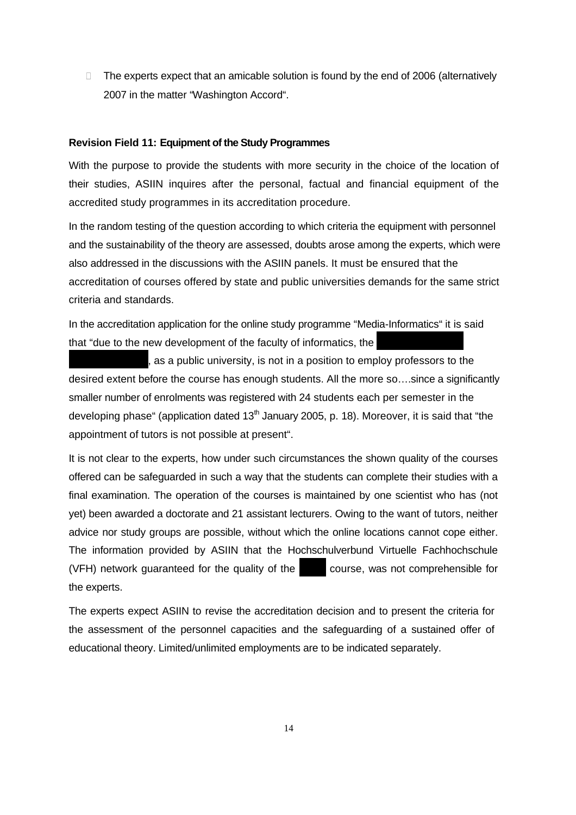$\Box$  The experts expect that an amicable solution is found by the end of 2006 (alternatively 2007 in the matter "Washington Accord".

#### **Revision Field 11: Equipment of the Study Programmes**

With the purpose to provide the students with more security in the choice of the location of their studies, ASIIN inquires after the personal, factual and financial equipment of the accredited study programmes in its accreditation procedure.

In the random testing of the question according to which criteria the equipment with personnel and the sustainability of the theory are assessed, doubts arose among the experts, which were also addressed in the discussions with the ASIIN panels. It must be ensured that the accreditation of courses offered by state and public universities demands for the same strict criteria and standards.

In the accreditation application for the online study programme "Media-Informatics" it is said that "due to the new development of the faculty of informatics, the

 $l$ , as a public university, is not in a position to employ professors to the desired extent before the course has enough students. All the more so….since a significantly smaller number of enrolments was registered with 24 students each per semester in the developing phase" (application dated  $13<sup>th</sup>$  January 2005, p. 18). Moreover, it is said that "the appointment of tutors is not possible at present".

It is not clear to the experts, how under such circumstances the shown quality of the courses offered can be safeguarded in such a way that the students can complete their studies with a final examination. The operation of the courses is maintained by one scientist who has (not yet) been awarded a doctorate and 21 assistant lecturers. Owing to the want of tutors, neither advice nor study groups are possible, without which the online locations cannot cope either. The information provided by ASIIN that the Hochschulverbund Virtuelle Fachhochschule (VFH) network quaranteed for the quality of the  $\blacksquare$  course, was not comprehensible for the experts.

The experts expect ASIIN to revise the accreditation decision and to present the criteria for the assessment of the personnel capacities and the safeguarding of a sustained offer of educational theory. Limited/unlimited employments are to be indicated separately.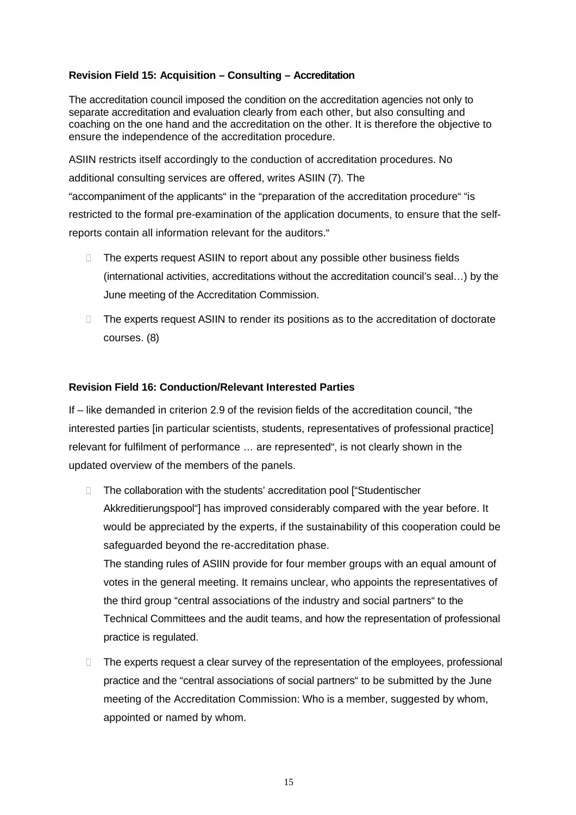# **Revision Field 15: Acquisition – Consulting – Accreditation**

The accreditation council imposed the condition on the accreditation agencies not only to separate accreditation and evaluation clearly from each other, but also consulting and coaching on the one hand and the accreditation on the other. It is therefore the objective to ensure the independence of the accreditation procedure.

ASIIN restricts itself accordingly to the conduction of accreditation procedures. No additional consulting services are offered, writes ASIIN (7). The "accompaniment of the applicants" in the "preparation of the accreditation procedure" "is restricted to the formal pre-examination of the application documents, to ensure that the selfreports contain all information relevant for the auditors."

- □ The experts request ASIIN to report about any possible other business fields (international activities, accreditations without the accreditation council's seal…) by the June meeting of the Accreditation Commission.
- □ The experts request ASIIN to render its positions as to the accreditation of doctorate courses. (8)

# **Revision Field 16: Conduction/Relevant Interested Parties**

If – like demanded in criterion 2.9 of the revision fields of the accreditation council, "the interested parties [in particular scientists, students, representatives of professional practice] relevant for fulfilment of performance … are represented", is not clearly shown in the updated overview of the members of the panels.

- The collaboration with the students' accreditation pool ["Studentischer Akkreditierungspool"] has improved considerably compared with the year before. It would be appreciated by the experts, if the sustainability of this cooperation could be safeguarded beyond the re-accreditation phase. The standing rules of ASIIN provide for four member groups with an equal amount of votes in the general meeting. It remains unclear, who appoints the representatives of the third group "central associations of the industry and social partners" to the Technical Committees and the audit teams, and how the representation of professional practice is regulated.
- The experts request a clear survey of the representation of the employees, professional practice and the "central associations of social partners" to be submitted by the June meeting of the Accreditation Commission: Who is a member, suggested by whom, appointed or named by whom.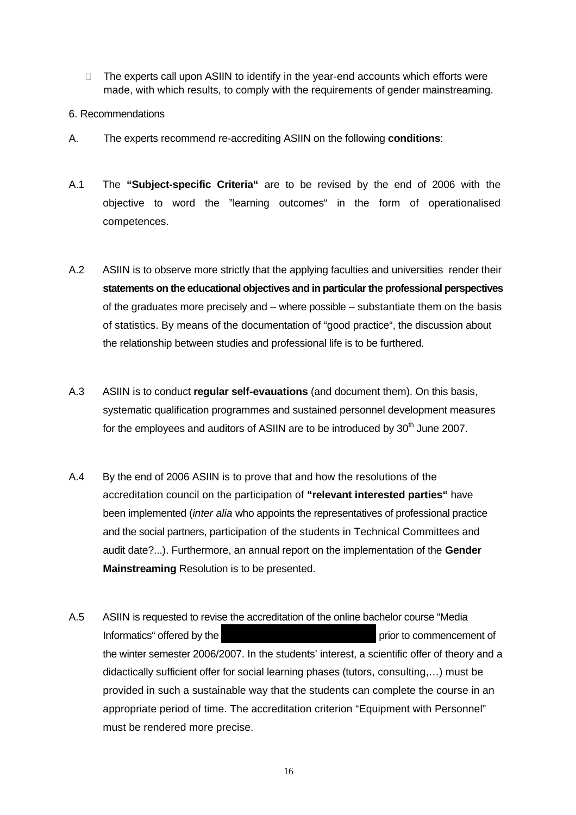- $\Box$  The experts call upon ASIIN to identify in the year-end accounts which efforts were made, with which results, to comply with the requirements of gender mainstreaming.
- 6. Recommendations
- A. The experts recommend re-accrediting ASIIN on the following **conditions**:
- A.1 The **"Subject-specific Criteria"** are to be revised by the end of 2006 with the objective to word the "learning outcomes" in the form of operationalised competences.
- A.2 ASIIN is to observe more strictly that the applying faculties and universities render their **statements on the educational objectives and in particular the professional perspectives**  of the graduates more precisely and – where possible – substantiate them on the basis of statistics. By means of the documentation of "good practice", the discussion about the relationship between studies and professional life is to be furthered.
- A.3 ASIIN is to conduct **regular self-evauations** (and document them). On this basis, systematic qualification programmes and sustained personnel development measures for the employees and auditors of ASIIN are to be introduced by  $30<sup>th</sup>$  June 2007.
- A.4 By the end of 2006 ASIIN is to prove that and how the resolutions of the accreditation council on the participation of **"relevant interested parties"** have been implemented (*inter alia* who appoints the representatives of professional practice and the social partners, participation of the students in Technical Committees and audit date?...). Furthermore, an annual report on the implementation of the **Gender Mainstreaming** Resolution is to be presented.
- A.5 ASIIN is requested to revise the accreditation of the online bachelor course "Media Informatics" offered by the Berlin Medien-Design Hochschule prior to commencement of the winter semester 2006/2007. In the students' interest, a scientific offer of theory and a didactically sufficient offer for social learning phases (tutors, consulting,…) must be provided in such a sustainable way that the students can complete the course in an appropriate period of time. The accreditation criterion "Equipment with Personnel" must be rendered more precise.